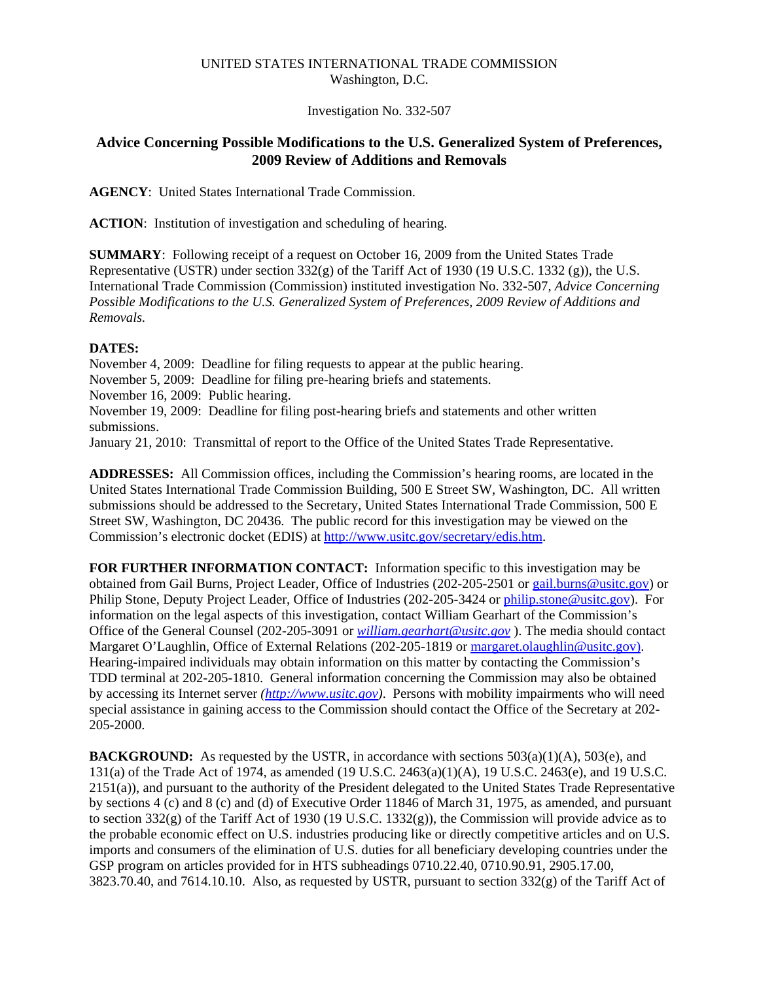## UNITED STATES INTERNATIONAL TRADE COMMISSION Washington, D.C.

Investigation No. 332-507

## **Advice Concerning Possible Modifications to the U.S. Generalized System of Preferences, 2009 Review of Additions and Removals**

**AGENCY**: United States International Trade Commission.

**ACTION**: Institution of investigation and scheduling of hearing.

**SUMMARY**: Following receipt of a request on October 16, 2009 from the United States Trade Representative (USTR) under section  $332(g)$  of the Tariff Act of 1930 (19 U.S.C. 1332 (g)), the U.S. International Trade Commission (Commission) instituted investigation No. 332-507, *Advice Concerning Possible Modifications to the U.S. Generalized System of Preferences, 2009 Review of Additions and Removals.*

## **DATES:**

November 4, 2009: Deadline for filing requests to appear at the public hearing. November 5, 2009: Deadline for filing pre-hearing briefs and statements. November 16, 2009: Public hearing. November 19, 2009: Deadline for filing post-hearing briefs and statements and other written submissions.

January 21, 2010: Transmittal of report to the Office of the United States Trade Representative.

**ADDRESSES:** All Commission offices, including the Commission's hearing rooms, are located in the United States International Trade Commission Building, 500 E Street SW, Washington, DC. All written submissions should be addressed to the Secretary, United States International Trade Commission, 500 E Street SW, Washington, DC 20436. The public record for this investigation may be viewed on the Commission's electronic docket (EDIS) at http://www.usitc.gov/secretary/edis.htm.

**FOR FURTHER INFORMATION CONTACT:** Information specific to this investigation may be obtained from Gail Burns, Project Leader, Office of Industries (202-205-2501 or gail.burns@usitc.gov) or Philip Stone, Deputy Project Leader, Office of Industries (202-205-3424 or philip.stone@usitc.gov). For information on the legal aspects of this investigation, contact William Gearhart of the Commission's Office of the General Counsel (202-205-3091 or *william.gearhart@usitc.gov* ). The media should contact Margaret O'Laughlin, Office of External Relations (202-205-1819 or margaret.olaughlin@usitc.gov). Hearing-impaired individuals may obtain information on this matter by contacting the Commission's TDD terminal at 202-205-1810. General information concerning the Commission may also be obtained by accessing its Internet server *(http://www.usitc.gov)*. Persons with mobility impairments who will need special assistance in gaining access to the Commission should contact the Office of the Secretary at 202- 205-2000.

**BACKGROUND:** As requested by the USTR, in accordance with sections  $503(a)(1)(A)$ ,  $503(e)$ , and 131(a) of the Trade Act of 1974, as amended (19 U.S.C. 2463(a)(1)(A), 19 U.S.C. 2463(e), and 19 U.S.C. 2151(a)), and pursuant to the authority of the President delegated to the United States Trade Representative by sections 4 (c) and 8 (c) and (d) of Executive Order 11846 of March 31, 1975, as amended, and pursuant to section 332(g) of the Tariff Act of 1930 (19 U.S.C. 1332(g)), the Commission will provide advice as to the probable economic effect on U.S. industries producing like or directly competitive articles and on U.S. imports and consumers of the elimination of U.S. duties for all beneficiary developing countries under the GSP program on articles provided for in HTS subheadings 0710.22.40, 0710.90.91, 2905.17.00, 3823.70.40, and 7614.10.10. Also, as requested by USTR, pursuant to section 332(g) of the Tariff Act of